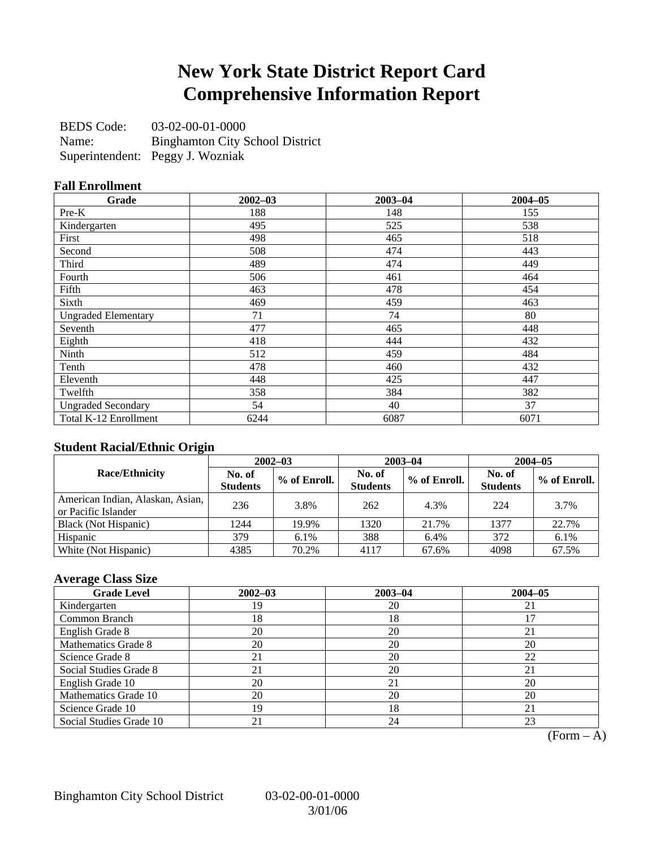## **New York State District Report Card Comprehensive Information Report**

BEDS Code: 03-02-00-01-0000 Name: Binghamton City School District Superintendent: Peggy J. Wozniak

### **Fall Enrollment**

| Grade                      | $2002 - 03$ | $2003 - 04$ | $2004 - 05$ |
|----------------------------|-------------|-------------|-------------|
| $Pre-K$                    | 188         | 148         | 155         |
| Kindergarten               | 495         | 525         | 538         |
| First                      | 498         | 465         | 518         |
| Second                     | 508         | 474         | 443         |
| Third                      | 489         | 474         | 449         |
| Fourth                     | 506         | 461         | 464         |
| Fifth                      | 463         | 478         | 454         |
| Sixth                      | 469         | 459         | 463         |
| <b>Ungraded Elementary</b> | 71          | 74          | 80          |
| Seventh                    | 477         | 465         | 448         |
| Eighth                     | 418         | 444         | 432         |
| Ninth                      | 512         | 459         | 484         |
| Tenth                      | 478         | 460         | 432         |
| Eleventh                   | 448         | 425         | 447         |
| Twelfth                    | 358         | 384         | 382         |
| <b>Ungraded Secondary</b>  | 54          | 40          | 37          |
| Total K-12 Enrollment      | 6244        | 6087        | 6071        |

### **Student Racial/Ethnic Origin**

|                                                         | $2002 - 03$               |              |                           | $2003 - 04$  | $2004 - 05$               |              |  |
|---------------------------------------------------------|---------------------------|--------------|---------------------------|--------------|---------------------------|--------------|--|
| <b>Race/Ethnicity</b>                                   | No. of<br><b>Students</b> | % of Enroll. | No. of<br><b>Students</b> | % of Enroll. | No. of<br><b>Students</b> | % of Enroll. |  |
| American Indian, Alaskan, Asian,<br>or Pacific Islander | 236                       | 3.8%         | 262                       | 4.3%         | 224                       | 3.7%         |  |
| Black (Not Hispanic)                                    | 1244                      | 19.9%        | 1320                      | 21.7%        | 1377                      | 22.7%        |  |
| Hispanic                                                | 379                       | 6.1%         | 388                       | 6.4%         | 372                       | $6.1\%$      |  |
| White (Not Hispanic)                                    | 4385                      | 70.2%        | 4117                      | 67.6%        | 4098                      | 67.5%        |  |

## **Average Class Size**

| <b>Grade Level</b>      | $2002 - 03$ | $2003 - 04$ | $2004 - 05$ |
|-------------------------|-------------|-------------|-------------|
| Kindergarten            | 19          | 20          | 21          |
| Common Branch           | 18          | 18          |             |
| English Grade 8         | 20          | 20          | 21          |
| Mathematics Grade 8     | 20          | 20          | 20          |
| Science Grade 8         | 21          | 20          | 22          |
| Social Studies Grade 8  |             | 20          | 21          |
| English Grade 10        | 20          | 21          | 20          |
| Mathematics Grade 10    | 20          | 20          | 20          |
| Science Grade 10        | 19          | 18          | 21          |
| Social Studies Grade 10 | 21          | 24          | 23          |

 $(Form - A)$ 

Binghamton City School District 03-02-00-01-0000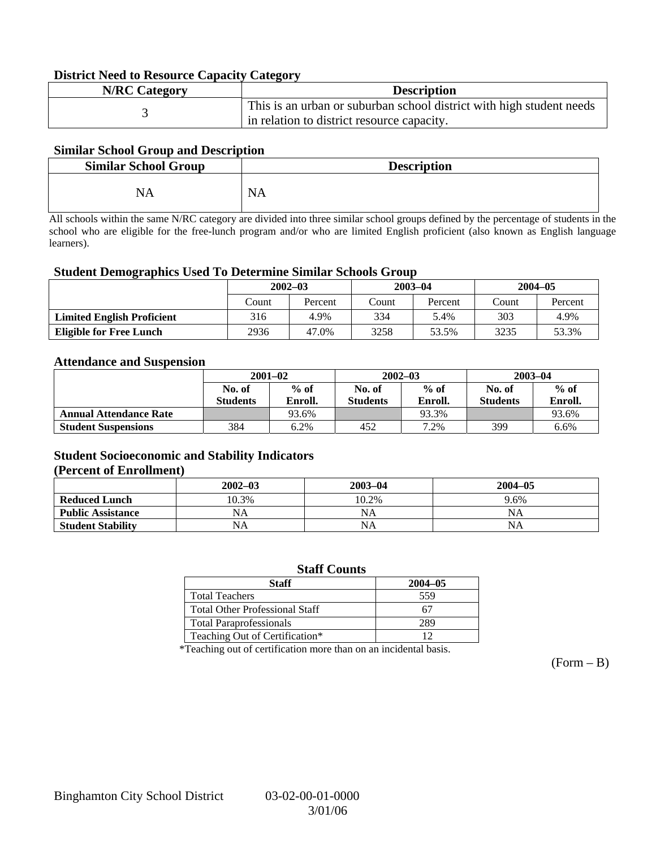### **District Need to Resource Capacity Category**

| <b>N/RC Category</b> | <b>Description</b>                                                   |
|----------------------|----------------------------------------------------------------------|
|                      | This is an urban or suburban school district with high student needs |
|                      | in relation to district resource capacity.                           |

### **Similar School Group and Description**

| <b>Similar School Group</b> | <b>Description</b>    |
|-----------------------------|-----------------------|
| NA                          | N <sub>1</sub><br>N.O |

All schools within the same N/RC category are divided into three similar school groups defined by the percentage of students in the school who are eligible for the free-lunch program and/or who are limited English proficient (also known as English language learners).

#### **Student Demographics Used To Determine Similar Schools Group**

|                                   | $2002 - 03$<br>Percent<br>Count |       | $2003 - 04$ |         | $2004 - 05$ |         |
|-----------------------------------|---------------------------------|-------|-------------|---------|-------------|---------|
|                                   |                                 |       | Count       | Percent | Count       | Percent |
| <b>Limited English Proficient</b> | 316                             | 4.9%  | 334         | 5.4%    | 303         | 4.9%    |
| <b>Eligible for Free Lunch</b>    | 2936                            | 47.0% | 3258        | 53.5%   | 3235        | 53.3%   |

#### **Attendance and Suspension**

|                               | $2001 - 02$<br>$%$ of<br>No. of |         |                  | $2002 - 03$ | $2003 - 04$     |         |
|-------------------------------|---------------------------------|---------|------------------|-------------|-----------------|---------|
|                               |                                 |         | $%$ of<br>No. of |             | No. of          | $%$ of  |
|                               | <b>Students</b>                 | Enroll. | <b>Students</b>  | Enroll.     | <b>Students</b> | Enroll. |
| <b>Annual Attendance Rate</b> |                                 | 93.6%   |                  | 93.3%       |                 | 93.6%   |
| <b>Student Suspensions</b>    | 384                             | 6.2%    | 452              | 7.2%        | 399             | 6.6%    |

### **Student Socioeconomic and Stability Indicators (Percent of Enrollment)**

|                          | $2002 - 03$ | $2003 - 04$ | $2004 - 05$ |
|--------------------------|-------------|-------------|-------------|
| <b>Reduced Lunch</b>     | 10.3%       | 10.2%       | 9.6%        |
| <b>Public Assistance</b> | NA          | NA          | NA          |
| <b>Student Stability</b> | NA          | <b>NA</b>   | NA          |

#### **Staff Counts**

| Staff                                 | $2004 - 05$ |
|---------------------------------------|-------------|
| <b>Total Teachers</b>                 | 559         |
| <b>Total Other Professional Staff</b> |             |
| <b>Total Paraprofessionals</b>        | 289.        |
| Teaching Out of Certification*        |             |

\*Teaching out of certification more than on an incidental basis.

 $(Form - B)$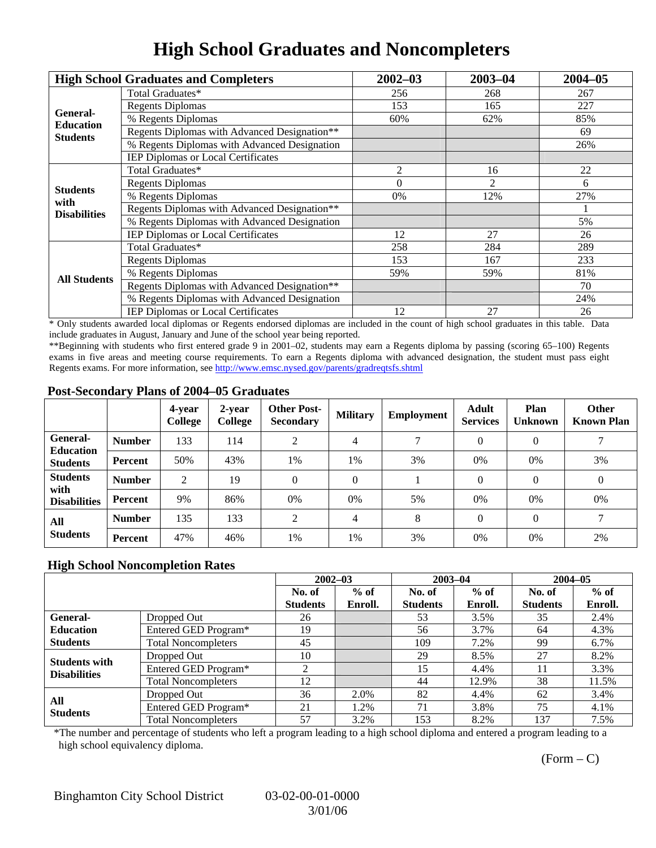# **High School Graduates and Noncompleters**

|                     | <b>High School Graduates and Completers</b>  | $2002 - 03$ | $2003 - 04$ | $2004 - 05$ |
|---------------------|----------------------------------------------|-------------|-------------|-------------|
|                     | Total Graduates*                             | 256         | 268         | 267         |
| General-            | <b>Regents Diplomas</b>                      | 153         | 165         | 227         |
| <b>Education</b>    | % Regents Diplomas                           | 60%         | 62%         | 85%         |
| <b>Students</b>     | Regents Diplomas with Advanced Designation** |             |             | 69          |
|                     | % Regents Diplomas with Advanced Designation |             |             | 26%         |
|                     | IEP Diplomas or Local Certificates           |             |             |             |
|                     | Total Graduates*                             | 2           | 16          | 22          |
| <b>Students</b>     | <b>Regents Diplomas</b>                      | $\Omega$    | 2           | 6           |
| with                | % Regents Diplomas                           | 0%          | 12%         | 27%         |
| <b>Disabilities</b> | Regents Diplomas with Advanced Designation** |             |             |             |
|                     | % Regents Diplomas with Advanced Designation |             |             | 5%          |
|                     | IEP Diplomas or Local Certificates           | 12          | 27          | 26          |
|                     | Total Graduates*                             | 258         | 284         | 289         |
|                     | <b>Regents Diplomas</b>                      | 153         | 167         | 233         |
| <b>All Students</b> | % Regents Diplomas                           | 59%         | 59%         | 81%         |
|                     | Regents Diplomas with Advanced Designation** | 27<br>12    | 70          |             |
|                     | % Regents Diplomas with Advanced Designation |             | 24%         |             |
|                     | <b>IEP Diplomas or Local Certificates</b>    |             |             | 26          |

\* Only students awarded local diplomas or Regents endorsed diplomas are included in the count of high school graduates in this table. Data include graduates in August, January and June of the school year being reported.

\*\*Beginning with students who first entered grade 9 in 2001–02, students may earn a Regents diploma by passing (scoring 65–100) Regents exams in five areas and meeting course requirements. To earn a Regents diploma with advanced designation, the student must pass eight Regents exams. For more information, see http://www.emsc.nysed.gov/parents/gradreqtsfs.shtml

### **Post-Secondary Plans of 2004–05 Graduates**

|                                                |                | 4-year<br>College | 2-year<br>College | <b>Other Post-</b><br><b>Secondary</b> | <b>Military</b> | Employment    | <b>Adult</b><br><b>Services</b> | Plan<br><b>Unknown</b> | <b>Other</b><br><b>Known Plan</b> |
|------------------------------------------------|----------------|-------------------|-------------------|----------------------------------------|-----------------|---------------|---------------------------------|------------------------|-----------------------------------|
| <b>General-</b><br><b>Education</b>            | <b>Number</b>  | 133               | 114               | 2                                      | 4               | $\mathcal{I}$ | $\Omega$                        | $\theta$               |                                   |
| <b>Students</b>                                | Percent        | 50%               | 43%               | 1%                                     | 1%              | 3%            | $0\%$                           | 0%                     | 3%                                |
| <b>Students</b><br>with<br><b>Disabilities</b> | <b>Number</b>  | 2                 | 19                | 0                                      | $\theta$        |               | $\Omega$                        | $\Omega$               | $\theta$                          |
|                                                | Percent        | 9%                | 86%               | 0%                                     | $0\%$           | 5%            | 0%                              | 0%                     | 0%                                |
| All<br><b>Students</b>                         | <b>Number</b>  | 135               | 133               | $\overline{c}$                         | 4               | 8             | $\Omega$                        | $\Omega$               |                                   |
|                                                | <b>Percent</b> | 47%               | 46%               | 1%                                     | 1%              | 3%            | 0%                              | 0%                     | 2%                                |

### **High School Noncompletion Rates**

|                        |                            | $2002 - 03$     |         | $2003 - 04$     |         | $2004 - 05$     |         |
|------------------------|----------------------------|-----------------|---------|-----------------|---------|-----------------|---------|
|                        |                            | No. of          | $%$ of  | No. of          | $%$ of  | No. of          | $%$ of  |
|                        |                            | <b>Students</b> | Enroll. | <b>Students</b> | Enroll. | <b>Students</b> | Enroll. |
| General-               | Dropped Out                | 26              |         | 53              | 3.5%    | 35              | 2.4%    |
| <b>Education</b>       | Entered GED Program*       | 19              |         | 56              | 3.7%    | 64              | 4.3%    |
| <b>Students</b>        | <b>Total Noncompleters</b> | 45              |         | 109             | 7.2%    | 99              | 6.7%    |
| <b>Students with</b>   | Dropped Out                | 10              |         | 29              | 8.5%    | 27              | 8.2%    |
| <b>Disabilities</b>    | Entered GED Program*       | ◠               |         | 15              | 4.4%    | 11              | 3.3%    |
|                        | <b>Total Noncompleters</b> | 12              |         | 44              | 12.9%   | 38              | 11.5%   |
| All<br><b>Students</b> | Dropped Out                | 36              | 2.0%    | 82              | 4.4%    | 62              | 3.4%    |
|                        | Entered GED Program*       | 21              | 1.2%    | 71              | 3.8%    | 75              | 4.1%    |
|                        | <b>Total Noncompleters</b> | 57              | 3.2%    | 153             | 8.2%    | 137             | 7.5%    |

\*The number and percentage of students who left a program leading to a high school diploma and entered a program leading to a high school equivalency diploma.

 $(Form - C)$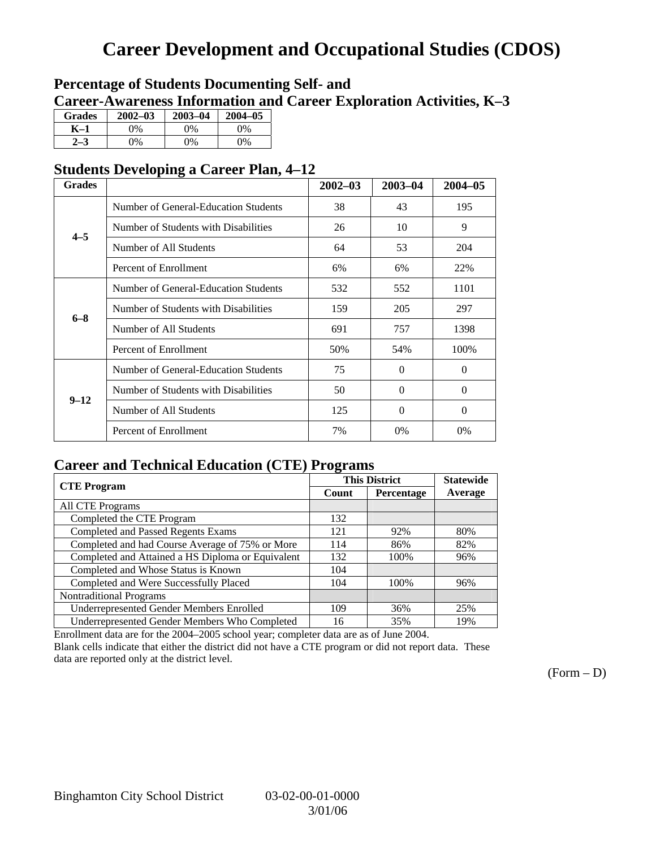## **Career Development and Occupational Studies (CDOS)**

## **Percentage of Students Documenting Self- and Career-Awareness Information and Career Exploration Activities, K–3**

| <b>Grades</b> | $2002 - 03$    | $2003 - 04$ | $2004 - 05$ |
|---------------|----------------|-------------|-------------|
| K–1           | $\frac{10}{6}$ | $0\%$       | 0%          |
|               | $\gamma_0$     | $0\%$       | $0\%$       |

## **Students Developing a Career Plan, 4–12**

| <b>Grades</b> |                                      | $2002 - 03$ | $2003 - 04$ | $2004 - 05$ |
|---------------|--------------------------------------|-------------|-------------|-------------|
|               | Number of General-Education Students | 38          | 43          | 195         |
| $4 - 5$       | Number of Students with Disabilities | 26          | 10          | 9           |
|               | Number of All Students               | 64          | 53          | 204         |
|               | Percent of Enrollment                | 6%          | 6%          | 22%         |
|               | Number of General-Education Students | 532         | 552         | 1101        |
| $6 - 8$       | Number of Students with Disabilities | 159         | 205         | 297         |
|               | Number of All Students               | 691         | 757         | 1398        |
|               | Percent of Enrollment                | 50%         | 54%         | 100%        |
|               | Number of General-Education Students | 75          | $\Omega$    | $\Omega$    |
| $9 - 12$      | Number of Students with Disabilities | 50          | $\Omega$    | $\Omega$    |
|               | Number of All Students               | 125         | $\Omega$    | $\Omega$    |
|               | Percent of Enrollment                | 7%          | 0%          | 0%          |

## **Career and Technical Education (CTE) Programs**

| <b>CTE Program</b>                                |       | <b>This District</b> | <b>Statewide</b> |
|---------------------------------------------------|-------|----------------------|------------------|
|                                                   | Count | Percentage           | Average          |
| <b>All CTE Programs</b>                           |       |                      |                  |
| Completed the CTE Program                         | 132   |                      |                  |
| <b>Completed and Passed Regents Exams</b>         | 121   | 92%                  | 80%              |
| Completed and had Course Average of 75% or More   | 114   | 86%                  | 82%              |
| Completed and Attained a HS Diploma or Equivalent | 132   | 100%                 | 96%              |
| Completed and Whose Status is Known               | 104   |                      |                  |
| Completed and Were Successfully Placed            | 104   | 100%                 | 96%              |
| <b>Nontraditional Programs</b>                    |       |                      |                  |
| <b>Underrepresented Gender Members Enrolled</b>   | 109   | 36%                  | 25%              |
| Underrepresented Gender Members Who Completed     | 16    | 35%                  | 19%              |

Enrollment data are for the 2004–2005 school year; completer data are as of June 2004.

Blank cells indicate that either the district did not have a CTE program or did not report data. These data are reported only at the district level.

 $(Form - D)$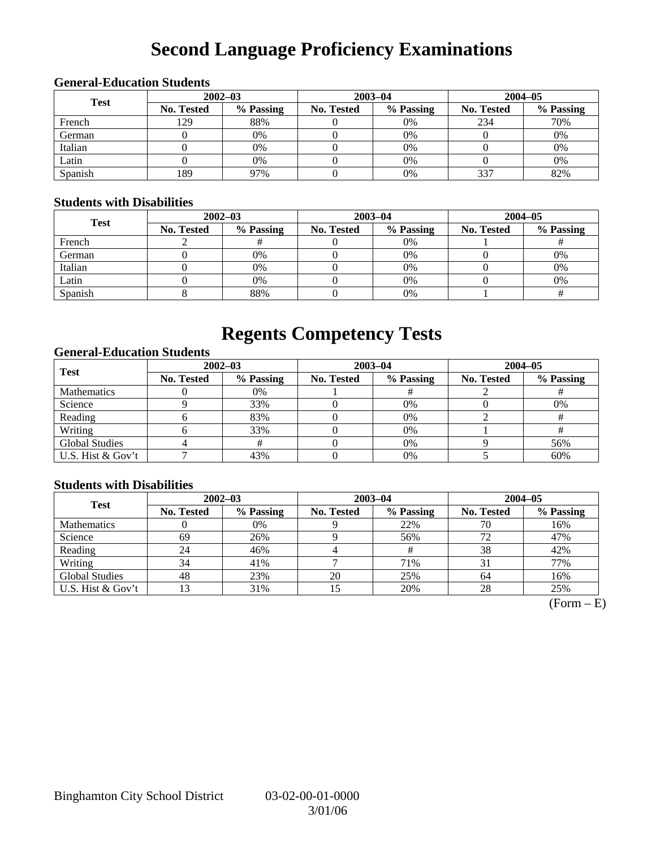# **Second Language Proficiency Examinations**

## **General-Education Students**

| <b>Test</b> | $2002 - 03$       |           |                   | $2003 - 04$ | $2004 - 05$       |           |  |
|-------------|-------------------|-----------|-------------------|-------------|-------------------|-----------|--|
|             | <b>No. Tested</b> | % Passing | <b>No. Tested</b> | % Passing   | <b>No. Tested</b> | % Passing |  |
| French      | 129               | 88%       |                   | 0%          | 234               | 70%       |  |
| German      |                   | 0%        |                   | 0%          |                   | 0%        |  |
| Italian     |                   | 0%        |                   | 0%          |                   | 0%        |  |
| Latin       |                   | 0%        |                   | $0\%$       |                   | 0%        |  |
| Spanish     | 189               | 97%       |                   | 0%          | 337               | 82%       |  |

### **Students with Disabilities**

| <b>Test</b> | $2002 - 03$       |           |            | $2003 - 04$ | $2004 - 05$ |           |  |
|-------------|-------------------|-----------|------------|-------------|-------------|-----------|--|
|             | <b>No. Tested</b> | % Passing | No. Tested | % Passing   | No. Tested  | % Passing |  |
| French      |                   |           |            | $0\%$       |             |           |  |
| German      |                   | 0%        |            | 0%          |             | 0%        |  |
| Italian     |                   | 0%        |            | $0\%$       |             | 0%        |  |
| Latin       |                   | 0%        |            | $0\%$       |             | 0%        |  |
| Spanish     |                   | 88%       |            | 0%          |             |           |  |

## **Regents Competency Tests**

### **General-Education Students**

| <b>Test</b>           |                   | $2002 - 03$ |            | $2003 - 04$ | $2004 - 05$       |           |  |
|-----------------------|-------------------|-------------|------------|-------------|-------------------|-----------|--|
|                       | <b>No. Tested</b> | % Passing   | No. Tested | % Passing   | <b>No. Tested</b> | % Passing |  |
| <b>Mathematics</b>    |                   | 0%          |            |             |                   |           |  |
| Science               |                   | 33%         |            | 0%          |                   | 0%        |  |
| Reading               |                   | 83%         |            | $0\%$       |                   |           |  |
| Writing               |                   | 33%         |            | 0%          |                   |           |  |
| <b>Global Studies</b> |                   |             |            | 0%          |                   | 56%       |  |
| U.S. Hist & Gov't     |                   | 43%         |            | $0\%$       |                   | 60%       |  |

### **Students with Disabilities**

| <b>Test</b>           | $2002 - 03$       |           | $2003 - 04$ |           | $2004 - 05$ |           |  |
|-----------------------|-------------------|-----------|-------------|-----------|-------------|-----------|--|
|                       | <b>No. Tested</b> | % Passing | No. Tested  | % Passing | No. Tested  | % Passing |  |
| <b>Mathematics</b>    |                   | 0%        |             | 22%       | 70          | 16%       |  |
| Science               | 69                | 26%       |             | 56%       |             | 47%       |  |
| Reading               | 24                | 46%       |             |           | 38          | 42%       |  |
| Writing               | 34                | 41%       |             | 71%       |             | 77%       |  |
| <b>Global Studies</b> | 48                | 23%       | 20          | 25%       | 64          | 16%       |  |
| U.S. Hist & Gov't     | 3                 | 31%       | 15          | 20%       | 28          | 25%       |  |

 $(Form - E)$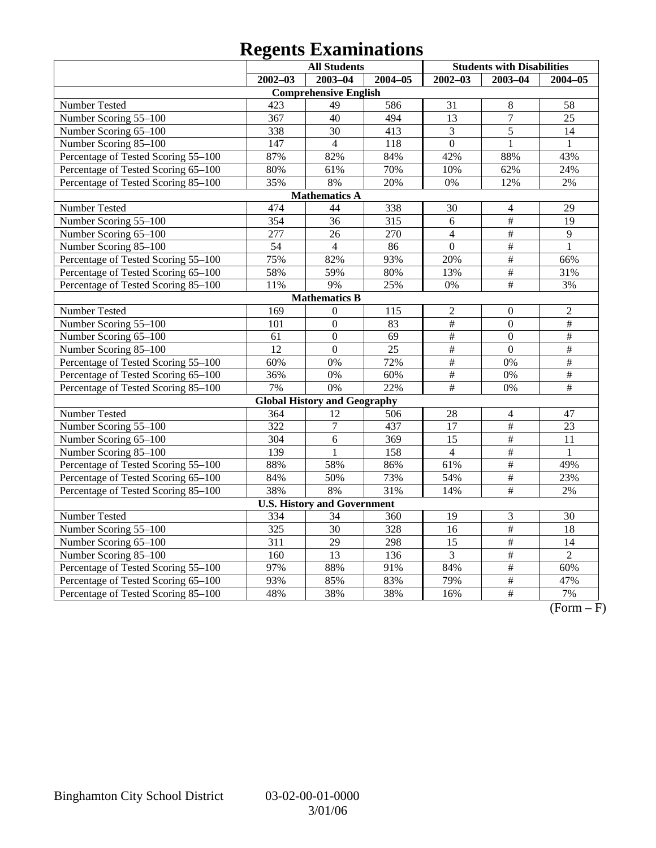# **Regents Examinations**

|                                     | <b>All Students</b> |                                     |             | <b>Students with Disabilities</b> |                  |                 |
|-------------------------------------|---------------------|-------------------------------------|-------------|-----------------------------------|------------------|-----------------|
|                                     | $2002 - 03$         | $2003 - 04$                         | $2004 - 05$ | $2002 - 03$                       | $2003 - 04$      | $2004 - 05$     |
|                                     |                     | <b>Comprehensive English</b>        |             |                                   |                  |                 |
| Number Tested                       | 423                 | 49                                  | 586         | 31                                | $\,8\,$          | 58              |
| Number Scoring 55-100               | 367                 | 40                                  | 494         | $\overline{13}$                   | $\overline{7}$   | $\overline{25}$ |
| Number Scoring 65-100               | 338                 | $\overline{30}$                     | 413         | 3                                 | $\overline{5}$   | $\overline{14}$ |
| Number Scoring 85-100               | 147                 | $\overline{4}$                      | 118         | $\overline{0}$                    | $\mathbf{1}$     | 1               |
| Percentage of Tested Scoring 55-100 | 87%                 | 82%                                 | 84%         | 42%                               | 88%              | 43%             |
| Percentage of Tested Scoring 65-100 | 80%                 | 61%                                 | 70%         | 10%                               | 62%              | 24%             |
| Percentage of Tested Scoring 85-100 | 35%                 | 8%                                  | 20%         | 0%                                | 12%              | $2\%$           |
|                                     |                     | <b>Mathematics A</b>                |             |                                   |                  |                 |
| Number Tested                       | 474                 | 44                                  | 338         | 30                                | $\overline{4}$   | 29              |
| Number Scoring 55-100               | 354                 | 36                                  | 315         | 6                                 | $\overline{\#}$  | 19              |
| Number Scoring 65-100               | 277                 | 26                                  | 270         | $\overline{4}$                    | $\overline{\#}$  | $\overline{9}$  |
| Number Scoring 85-100               | $\overline{54}$     | $\overline{4}$                      | 86          | $\overline{0}$                    | $\overline{\#}$  | $\mathbf{1}$    |
| Percentage of Tested Scoring 55-100 | 75%                 | 82%                                 | 93%         | 20%                               | $\frac{1}{2}$    | 66%             |
| Percentage of Tested Scoring 65-100 | 58%                 | 59%                                 | 80%         | 13%                               | $\#$             | 31%             |
| Percentage of Tested Scoring 85-100 | 11%                 | 9%                                  | 25%         | 0%                                | $\overline{\#}$  | 3%              |
|                                     |                     | <b>Mathematics B</b>                |             |                                   |                  |                 |
| Number Tested                       | $\overline{169}$    | $\theta$                            | 115         | $\overline{c}$                    | $\boldsymbol{0}$ | $\overline{2}$  |
| Number Scoring 55-100               | 101                 | $\overline{0}$                      | 83          | $\#$                              | $\overline{0}$   | $\overline{\#}$ |
| Number Scoring 65-100               | 61                  | $\mathbf{0}$                        | 69          | $\#$                              | $\mathbf{0}$     | $\overline{\#}$ |
| Number Scoring 85-100               | 12                  | $\overline{0}$                      | 25          | $\frac{1}{2}$                     | $\overline{0}$   | $\#$            |
| Percentage of Tested Scoring 55-100 | 60%                 | 0%                                  | 72%         | $\#$                              | 0%               | $\#$            |
| Percentage of Tested Scoring 65-100 | 36%                 | 0%                                  | 60%         | $\frac{1}{2}$                     | 0%               | $\overline{\#}$ |
| Percentage of Tested Scoring 85-100 | 7%                  | 0%                                  | 22%         | #                                 | 0%               | #               |
|                                     |                     | <b>Global History and Geography</b> |             |                                   |                  |                 |
| Number Tested                       | 364                 | 12                                  | 506         | 28                                | $\overline{4}$   | 47              |
| Number Scoring 55-100               | 322                 | $\overline{7}$                      | 437         | 17                                | $\overline{\#}$  | 23              |
| Number Scoring 65-100               | 304                 | 6                                   | 369         | 15                                | $\#$             | 11              |
| Number Scoring 85-100               | 139                 | 1                                   | 158         | $\overline{4}$                    | $\overline{\#}$  | $\mathbf{1}$    |
| Percentage of Tested Scoring 55-100 | 88%                 | 58%                                 | 86%         | 61%                               | $\#$             | 49%             |
| Percentage of Tested Scoring 65-100 | 84%                 | 50%                                 | 73%         | 54%                               | $\#$             | 23%             |
| Percentage of Tested Scoring 85-100 | 38%                 | 8%                                  | 31%         | 14%                               | $\#$             | 2%              |
|                                     |                     | <b>U.S. History and Government</b>  |             |                                   |                  |                 |
| Number Tested                       | 334                 | 34                                  | 360         | 19                                | $\mathfrak{Z}$   | 30              |
| Number Scoring 55-100               | 325                 | 30                                  | 328         | 16                                | $\#$             | 18              |
| Number Scoring 65-100               | $\overline{311}$    | 29                                  | 298         | 15                                | $\overline{\#}$  | 14              |
| Number Scoring 85-100               | 160                 | $\overline{13}$                     | 136         | $\overline{3}$                    | $\overline{\#}$  | $\overline{2}$  |
| Percentage of Tested Scoring 55-100 | 97%                 | 88%                                 | 91%         | 84%                               | $\overline{\#}$  | 60%             |
| Percentage of Tested Scoring 65-100 | 93%                 | 85%                                 | 83%         | 79%                               | $\frac{1}{2}$    | 47%             |
| Percentage of Tested Scoring 85-100 | 48%                 | 38%                                 | 38%         | 16%                               | $\overline{\#}$  | 7%              |

 $\overline{(Form - F)}$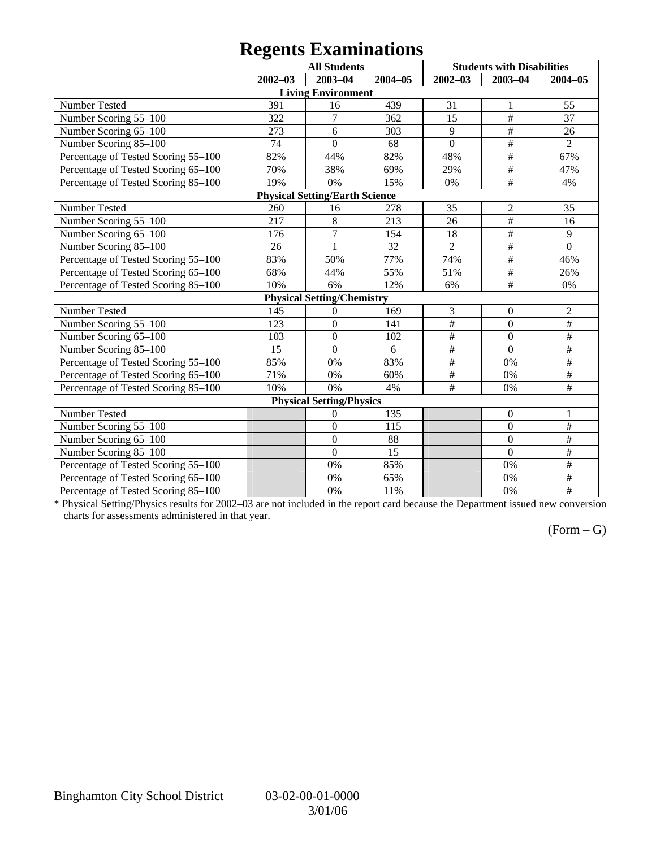## **Regents Examinations**

|                                     | o           | <b>All Students</b>                   |         |                 | <b>Students with Disabilities</b> |                         |
|-------------------------------------|-------------|---------------------------------------|---------|-----------------|-----------------------------------|-------------------------|
|                                     | $2002 - 03$ | $2003 - 04$                           | 2004-05 | $2002 - 03$     | $2003 - 04$                       | $2004 - 05$             |
|                                     |             | <b>Living Environment</b>             |         |                 |                                   |                         |
| Number Tested                       | 391         | 16                                    | 439     | 31              | 1                                 | 55                      |
| Number Scoring 55-100               | 322         | 7                                     | 362     | 15              | #                                 | 37                      |
| Number Scoring 65-100               | 273         | 6                                     | 303     | $\overline{9}$  | $\#$                              | 26                      |
| Number Scoring 85-100               | 74          | $\overline{0}$                        | 68      | $\overline{0}$  | $\#$                              | $\overline{2}$          |
| Percentage of Tested Scoring 55-100 | 82%         | 44%                                   | 82%     | 48%             | $\overline{\ddot{}}$              | 67%                     |
| Percentage of Tested Scoring 65-100 | 70%         | 38%                                   | 69%     | 29%             | $\overline{\#}$                   | 47%                     |
| Percentage of Tested Scoring 85-100 | 19%         | 0%                                    | 15%     | 0%              | $\#$                              | 4%                      |
|                                     |             | <b>Physical Setting/Earth Science</b> |         |                 |                                   |                         |
| Number Tested                       | 260         | 16                                    | 278     | 35              | $\overline{2}$                    | 35                      |
| Number Scoring 55-100               | 217         | 8                                     | 213     | 26              | $\#$                              | 16                      |
| Number Scoring 65-100               | 176         | $\tau$                                | 154     | 18              | $\#$                              | 9                       |
| Number Scoring 85-100               | 26          | $\overline{1}$                        | 32      | $\overline{2}$  | $\#$                              | $\overline{0}$          |
| Percentage of Tested Scoring 55-100 | 83%         | 50%                                   | 77%     | 74%             | $\overline{\#}$                   | 46%                     |
| Percentage of Tested Scoring 65-100 | 68%         | 44%                                   | 55%     | 51%             | $\overline{\#}$                   | 26%                     |
| Percentage of Tested Scoring 85-100 | 10%         | 6%                                    | 12%     | 6%              | #                                 | 0%                      |
|                                     |             | <b>Physical Setting/Chemistry</b>     |         |                 |                                   |                         |
| Number Tested                       | 145         | $\boldsymbol{0}$                      | 169     | 3               | $\boldsymbol{0}$                  | $\mathfrak{2}$          |
| Number Scoring 55-100               | 123         | $\overline{0}$                        | 141     | $\overline{\#}$ | $\overline{0}$                    | #                       |
| Number Scoring 65-100               | 103         | $\boldsymbol{0}$                      | 102     | $\overline{\#}$ | $\mathbf{0}$                      | $\overline{\#}$         |
| Number Scoring 85-100               | 15          | $\overline{0}$                        | 6       | #               | $\overline{0}$                    | $\overline{\#}$         |
| Percentage of Tested Scoring 55-100 | 85%         | 0%                                    | 83%     | $\#$            | 0%                                | $\#$                    |
| Percentage of Tested Scoring 65-100 | 71%         | 0%                                    | 60%     | $\#$            | 0%                                | $\#$                    |
| Percentage of Tested Scoring 85-100 | 10%         | 0%                                    | 4%      | $\#$            | 0%                                | $\#$                    |
|                                     |             | <b>Physical Setting/Physics</b>       |         |                 |                                   |                         |
| Number Tested                       |             | 0                                     | 135     |                 | $\boldsymbol{0}$                  | 1                       |
| Number Scoring 55-100               |             | $\boldsymbol{0}$                      | 115     |                 | $\mathbf{0}$                      | $\#$                    |
| Number Scoring 65-100               |             | $\mathbf{0}$                          | 88      |                 | $\overline{0}$                    | $\#$                    |
| Number Scoring 85-100               |             | $\overline{0}$                        | 15      |                 | $\overline{0}$                    | $\#$                    |
| Percentage of Tested Scoring 55-100 |             | 0%                                    | 85%     |                 | 0%                                | $\frac{1}{2}$           |
| Percentage of Tested Scoring 65-100 |             | 0%                                    | 65%     |                 | 0%                                | $\overline{\ddot{\pi}}$ |
| Percentage of Tested Scoring 85-100 |             | 0%                                    | 11%     |                 | 0%                                | $\overline{\ddot{\pi}}$ |

\* Physical Setting/Physics results for 2002–03 are not included in the report card because the Department issued new conversion charts for assessments administered in that year.

## $(Form - G)$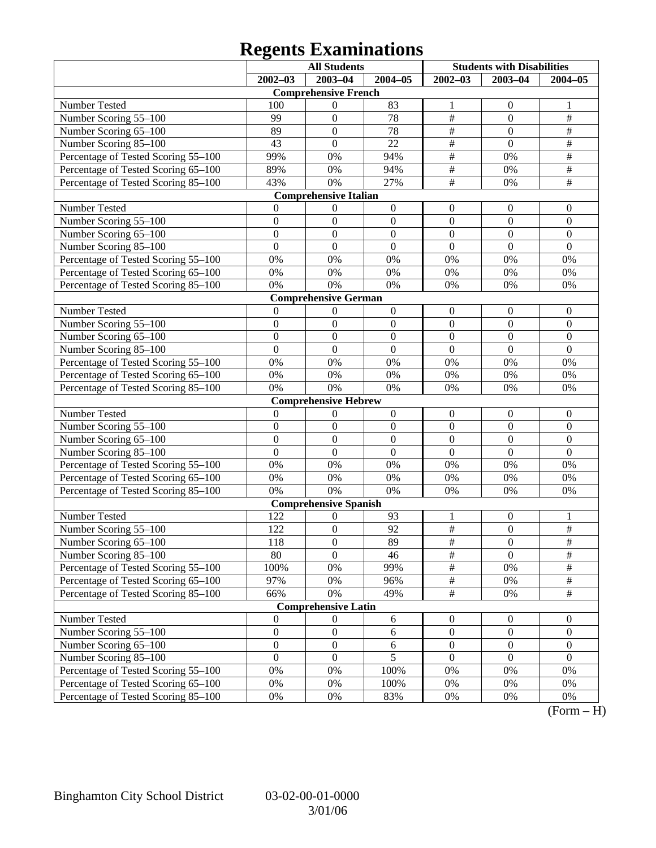# **Regents Examinations**

|                                     | <b>All Students</b> |                              |                  | <b>Students with Disabilities</b> |                  |                  |
|-------------------------------------|---------------------|------------------------------|------------------|-----------------------------------|------------------|------------------|
|                                     | $2002 - 03$         | $2003 - 04$                  | $2004 - 05$      | $2002 - 03$                       | $2003 - 04$      | $2004 - 05$      |
|                                     |                     | <b>Comprehensive French</b>  |                  |                                   |                  |                  |
| Number Tested                       | 100                 | 0                            | 83               | 1                                 | $\boldsymbol{0}$ | 1                |
| Number Scoring 55-100               | 99                  | $\boldsymbol{0}$             | 78               | $\overline{\#}$                   | $\boldsymbol{0}$ | $\frac{1}{2}$    |
| Number Scoring 65-100               | 89                  | $\boldsymbol{0}$             | 78               | $\overline{\ddot{\pi}}$           | $\overline{0}$   | $\overline{\#}$  |
| Number Scoring 85-100               | 43                  | $\mathbf{0}$                 | 22               | $\overline{\ddot{\pi}}$           | $\overline{0}$   | $\overline{\#}$  |
| Percentage of Tested Scoring 55-100 | 99%                 | 0%                           | 94%              | #                                 | 0%               | $\overline{\#}$  |
| Percentage of Tested Scoring 65-100 | 89%                 | 0%                           | 94%              | $\frac{1}{2}$                     | 0%               | $\overline{\#}$  |
| Percentage of Tested Scoring 85-100 | 43%                 | 0%                           | 27%              | $\overline{\#}$                   | 0%               | $\overline{\#}$  |
|                                     |                     | <b>Comprehensive Italian</b> |                  |                                   |                  |                  |
| Number Tested                       | $\theta$            | $\boldsymbol{0}$             | $\boldsymbol{0}$ | $\boldsymbol{0}$                  | $\mathbf{0}$     | $\mathbf{0}$     |
| Number Scoring 55-100               | $\boldsymbol{0}$    | $\boldsymbol{0}$             | $\boldsymbol{0}$ | $\boldsymbol{0}$                  | $\boldsymbol{0}$ | $\boldsymbol{0}$ |
| Number Scoring 65-100               | $\boldsymbol{0}$    | $\boldsymbol{0}$             | $\boldsymbol{0}$ | $\boldsymbol{0}$                  | $\overline{0}$   | $\boldsymbol{0}$ |
| Number Scoring 85-100               | $\overline{0}$      | $\mathbf{0}$                 | $\overline{0}$   | $\overline{0}$                    | $\overline{0}$   | $\overline{0}$   |
| Percentage of Tested Scoring 55-100 | 0%                  | 0%                           | $0\%$            | 0%                                | 0%               | 0%               |
| Percentage of Tested Scoring 65-100 | $0\%$               | 0%                           | $0\%$            | 0%                                | 0%               | 0%               |
| Percentage of Tested Scoring 85-100 | 0%                  | 0%                           | $0\%$            | 0%                                | 0%               | 0%               |
|                                     |                     | <b>Comprehensive German</b>  |                  |                                   |                  |                  |
| Number Tested                       | $\boldsymbol{0}$    | $\boldsymbol{0}$             | $\boldsymbol{0}$ | $\boldsymbol{0}$                  | $\mathbf{0}$     | $\mathbf{0}$     |
| Number Scoring 55-100               | $\boldsymbol{0}$    | $\boldsymbol{0}$             | $\boldsymbol{0}$ | $\boldsymbol{0}$                  | $\boldsymbol{0}$ | $\boldsymbol{0}$ |
| Number Scoring 65-100               | $\boldsymbol{0}$    | $\boldsymbol{0}$             | $\boldsymbol{0}$ | $\boldsymbol{0}$                  | $\boldsymbol{0}$ | $\boldsymbol{0}$ |
| Number Scoring 85-100               | $\mathbf{0}$        | $\mathbf{0}$                 | $\boldsymbol{0}$ | $\mathbf{0}$                      | $\boldsymbol{0}$ | $\mathbf{0}$     |
| Percentage of Tested Scoring 55-100 | 0%                  | 0%                           | $0\%$            | 0%                                | 0%               | 0%               |
| Percentage of Tested Scoring 65-100 | $0\%$               | 0%                           | $0\%$            | 0%                                | 0%               | 0%               |
| Percentage of Tested Scoring 85-100 | 0%                  | 0%                           | $0\%$            | 0%                                | 0%               | 0%               |
|                                     |                     | <b>Comprehensive Hebrew</b>  |                  |                                   |                  |                  |
| Number Tested                       | $\boldsymbol{0}$    | $\boldsymbol{0}$             | $\boldsymbol{0}$ | $\boldsymbol{0}$                  | $\mathbf{0}$     | $\mathbf{0}$     |
| Number Scoring 55-100               | $\boldsymbol{0}$    | $\boldsymbol{0}$             | $\boldsymbol{0}$ | $\boldsymbol{0}$                  | $\boldsymbol{0}$ | $\boldsymbol{0}$ |
| Number Scoring 65-100               | $\boldsymbol{0}$    | $\boldsymbol{0}$             | $\boldsymbol{0}$ | $\boldsymbol{0}$                  | $\overline{0}$   | $\overline{0}$   |
| Number Scoring 85-100               | $\overline{0}$      | $\mathbf{0}$                 | $\overline{0}$   | $\overline{0}$                    | $\overline{0}$   | $\mathbf{0}$     |
| Percentage of Tested Scoring 55-100 | 0%                  | 0%                           | $0\%$            | 0%                                | 0%               | 0%               |
| Percentage of Tested Scoring 65-100 | $0\%$               | 0%                           | $0\%$            | 0%                                | 0%               | 0%               |
| Percentage of Tested Scoring 85-100 | 0%                  | 0%                           | $0\%$            | 0%                                | 0%               | 0%               |
|                                     |                     | <b>Comprehensive Spanish</b> |                  |                                   |                  |                  |
| Number Tested                       | 122                 | 0                            | 93               | 1                                 | $\mathbf{0}$     | 1                |
| Number Scoring 55-100               | 122                 | $\boldsymbol{0}$             | 92               | $\overline{\#}$                   | $\boldsymbol{0}$ | $\overline{\#}$  |
| Number Scoring 65-100               | 118                 | $\boldsymbol{0}$             | 89               | #                                 | $\boldsymbol{0}$ | #                |
| Number Scoring 85-100               | 80                  | $\overline{0}$               | 46               | $\overline{\#}$                   | $\overline{0}$   | $\overline{\#}$  |
| Percentage of Tested Scoring 55-100 | 100%                | 0%                           | 99%              | $\frac{1}{2}$                     | 0%               | $\#$             |
| Percentage of Tested Scoring 65-100 | 97%                 | $0\%$                        | 96%              | $\frac{1}{2}$                     | 0%               | $\frac{1}{2}$    |
| Percentage of Tested Scoring 85-100 | 66%                 | 0%                           | 49%              | $\overline{\#}$                   | 0%               | $\overline{\#}$  |
|                                     |                     | <b>Comprehensive Latin</b>   |                  |                                   |                  |                  |
| Number Tested                       | $\boldsymbol{0}$    | $\boldsymbol{0}$             | 6                | $\boldsymbol{0}$                  | $\overline{0}$   | $\overline{0}$   |
| Number Scoring 55-100               | $\boldsymbol{0}$    | $\boldsymbol{0}$             | $\sqrt{6}$       | $\boldsymbol{0}$                  | $\boldsymbol{0}$ | $\boldsymbol{0}$ |
| Number Scoring 65-100               | $\boldsymbol{0}$    | $\boldsymbol{0}$             | $\sqrt{6}$       | $\boldsymbol{0}$                  | $\boldsymbol{0}$ | $\boldsymbol{0}$ |
| Number Scoring 85-100               | $\boldsymbol{0}$    | $\boldsymbol{0}$             | $\overline{5}$   | $\boldsymbol{0}$                  | $\boldsymbol{0}$ | $\boldsymbol{0}$ |
| Percentage of Tested Scoring 55-100 | $0\%$               | 0%                           | 100%             | 0%                                | 0%               | 0%               |
| Percentage of Tested Scoring 65-100 | $0\%$               | 0%                           | 100%             | 0%                                | 0%               | 0%               |
| Percentage of Tested Scoring 85-100 | 0%                  | 0%                           | 83%              | 0%                                | 0%               | 0%               |

 $(Form - H)$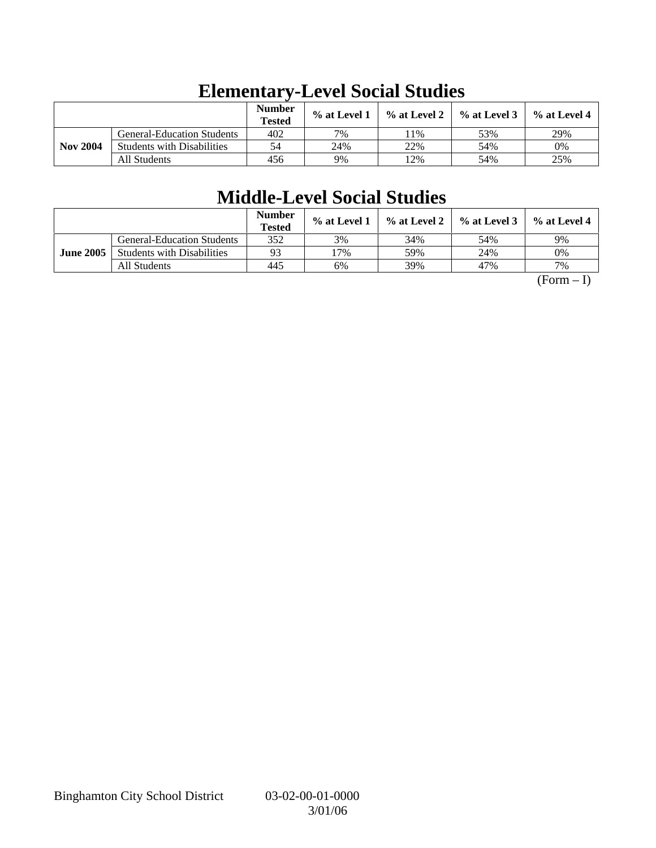|                 |                                   | <b>Number</b><br><b>Tested</b> | $%$ at Level 1 | $\%$ at Level 2 | $%$ at Level 3 | $%$ at Level 4 |
|-----------------|-----------------------------------|--------------------------------|----------------|-----------------|----------------|----------------|
|                 | <b>General-Education Students</b> | 402                            | 7%             | 1%              | 53%            | 29%            |
| <b>Nov 2004</b> | <b>Students with Disabilities</b> | 54                             | 24%            | 22%             | 54%            | 0%             |
|                 | All Students                      | 456                            | 9%             | 2%              | 54%            | 25%            |

# **Elementary-Level Social Studies**

# **Middle-Level Social Studies**

|                  |                                   | <b>Number</b><br><b>Tested</b> | $\%$ at Level 1 | $\%$ at Level 2 | $%$ at Level 3 | % at Level 4 |
|------------------|-----------------------------------|--------------------------------|-----------------|-----------------|----------------|--------------|
|                  | <b>General-Education Students</b> | 352                            | 3%              | 34%             | 54%            | 9%           |
| <b>June 2005</b> | <b>Students with Disabilities</b> | 93                             | 7%              | 59%             | 24%            | 0%           |
|                  | All Students                      | 445                            | 6%              | 39%             | 47%            | 7%           |

 $(Form - I)$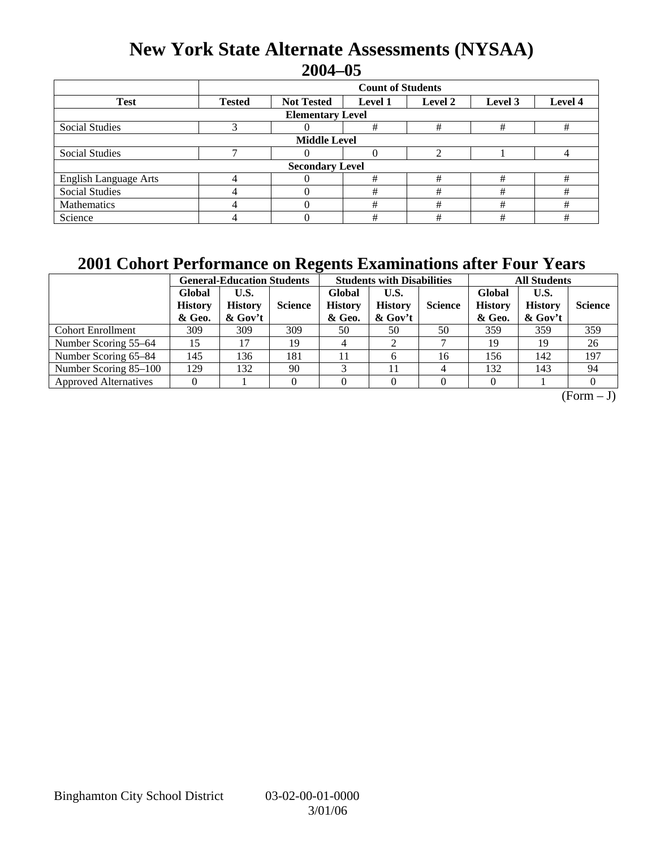## **New York State Alternate Assessments (NYSAA) 2004–05**

|                              | <b>Count of Students</b>                                                              |  |   |   |   |   |  |  |  |
|------------------------------|---------------------------------------------------------------------------------------|--|---|---|---|---|--|--|--|
| <b>Test</b>                  | Level 4<br><b>Not Tested</b><br><b>Tested</b><br><b>Level 1</b><br>Level 2<br>Level 3 |  |   |   |   |   |  |  |  |
| <b>Elementary Level</b>      |                                                                                       |  |   |   |   |   |  |  |  |
| <b>Social Studies</b>        |                                                                                       |  | # | # | # | # |  |  |  |
| <b>Middle Level</b>          |                                                                                       |  |   |   |   |   |  |  |  |
| <b>Social Studies</b>        |                                                                                       |  | 0 |   |   |   |  |  |  |
| <b>Secondary Level</b>       |                                                                                       |  |   |   |   |   |  |  |  |
| <b>English Language Arts</b> |                                                                                       |  | # | # | # | # |  |  |  |
| <b>Social Studies</b>        |                                                                                       |  | # | # | # | # |  |  |  |
| Mathematics                  |                                                                                       |  | # | # | # | # |  |  |  |
| Science                      |                                                                                       |  | # | # | # | # |  |  |  |

## **2001 Cohort Performance on Regents Examinations after Four Years**

|                              | <b>General-Education Students</b>  |                                   |                |                                    | <b>Students with Disabilities</b>    |                | <b>All Students</b>                |                                   |                |
|------------------------------|------------------------------------|-----------------------------------|----------------|------------------------------------|--------------------------------------|----------------|------------------------------------|-----------------------------------|----------------|
|                              | Global<br><b>History</b><br>& Geo. | U.S.<br><b>History</b><br>& Gov't | <b>Science</b> | Global<br><b>History</b><br>& Geo. | U.S.<br><b>History</b><br>$\&$ Gov't | <b>Science</b> | Global<br><b>History</b><br>& Geo. | U.S.<br><b>History</b><br>& Gov't | <b>Science</b> |
| <b>Cohort Enrollment</b>     | 309                                | 309                               | 309            | 50                                 | 50                                   | 50             | 359                                | 359                               | 359            |
| Number Scoring 55–64         | 15                                 |                                   | 19             |                                    |                                      |                | 19                                 | 19                                | 26             |
| Number Scoring 65-84         | 145                                | 136                               | 181            | 11                                 | 6                                    | 16             | 156                                | 142                               | 197            |
| Number Scoring 85-100        | 129                                | 132                               | 90             |                                    | 11                                   | 4              | 132                                | 143                               | 94             |
| <b>Approved Alternatives</b> |                                    |                                   | 0              |                                    | $\Omega$                             |                |                                    |                                   |                |

 $\overline{(Form - J)}$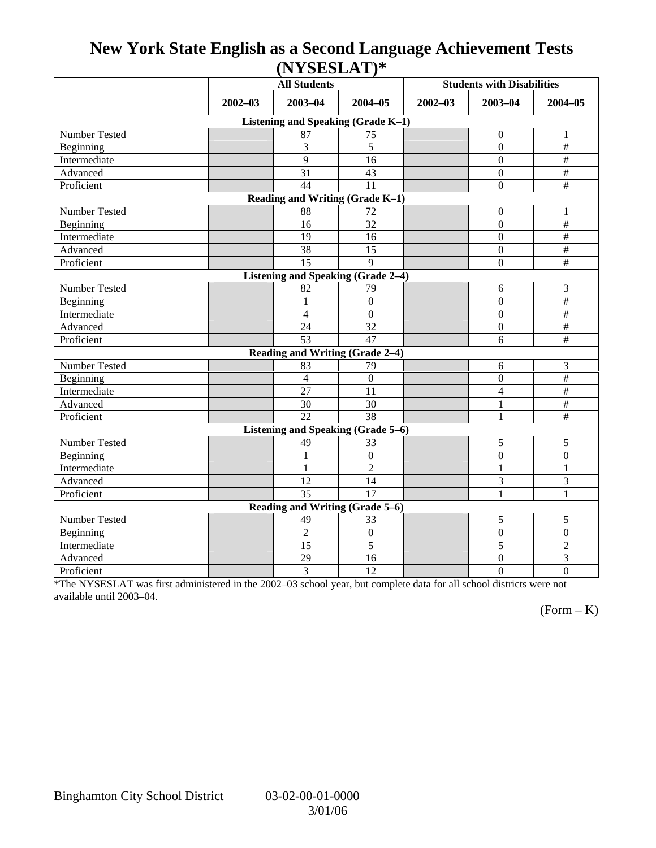## **New York State English as a Second Language Achievement Tests (NYSESLAT)\***

|                                    | <b>All Students</b> |                                           |                  | <b>Students with Disabilities</b> |                  |                           |  |  |  |
|------------------------------------|---------------------|-------------------------------------------|------------------|-----------------------------------|------------------|---------------------------|--|--|--|
|                                    | $2002 - 03$         | 2003-04                                   | $2004 - 05$      | $2002 - 03$                       | $2003 - 04$      | $2004 - 05$               |  |  |  |
| Listening and Speaking (Grade K-1) |                     |                                           |                  |                                   |                  |                           |  |  |  |
| Number Tested                      |                     | 87                                        | 75               |                                   | $\boldsymbol{0}$ | $\mathbf{1}$              |  |  |  |
| Beginning                          |                     | 3                                         | $\overline{5}$   |                                   | $\mathbf{0}$     | $\#$                      |  |  |  |
| Intermediate                       |                     | 9                                         | 16               |                                   | $\Omega$         | $\#$                      |  |  |  |
| Advanced                           |                     | 31                                        | 43               |                                   | $\overline{0}$   | $\#$                      |  |  |  |
| Proficient                         |                     | 44                                        | 11               |                                   | $\boldsymbol{0}$ | $\#$                      |  |  |  |
| Reading and Writing (Grade K-1)    |                     |                                           |                  |                                   |                  |                           |  |  |  |
| Number Tested                      |                     | 88                                        | 72               |                                   | $\boldsymbol{0}$ | 1                         |  |  |  |
| Beginning                          |                     | 16                                        | 32               |                                   | $\boldsymbol{0}$ | $\#$                      |  |  |  |
| Intermediate                       |                     | 19                                        | 16               |                                   | $\mathbf{0}$     | $\frac{1}{2}$             |  |  |  |
| Advanced                           |                     | $\overline{38}$                           | 15               |                                   | $\overline{0}$   | $\overline{\#}$           |  |  |  |
| Proficient                         |                     | 15                                        | $\mathbf Q$      |                                   | $\boldsymbol{0}$ | $\#$                      |  |  |  |
|                                    |                     | <b>Listening and Speaking (Grade 2-4)</b> |                  |                                   |                  |                           |  |  |  |
| Number Tested                      |                     | 82                                        | 79               |                                   | 6                | 3                         |  |  |  |
| Beginning                          |                     | $\mathbf{1}$                              | $\mathbf{0}$     |                                   | $\mathbf{0}$     | $\#$                      |  |  |  |
| Intermediate                       |                     | $\overline{4}$                            | $\boldsymbol{0}$ |                                   | $\boldsymbol{0}$ | $\#$                      |  |  |  |
| Advanced                           |                     | 24                                        | 32               |                                   | $\boldsymbol{0}$ | $\#$                      |  |  |  |
| Proficient                         |                     | 53                                        | 47               |                                   | 6                | $\overline{\overline{t}}$ |  |  |  |
|                                    |                     | Reading and Writing (Grade 2-4)           |                  |                                   |                  |                           |  |  |  |
| Number Tested                      |                     | 83                                        | 79               |                                   | 6                | $\overline{3}$            |  |  |  |
| Beginning                          |                     | $\overline{4}$                            | $\boldsymbol{0}$ |                                   | $\boldsymbol{0}$ | $\frac{1}{2}$             |  |  |  |
| Intermediate                       |                     | 27                                        | 11               |                                   | $\overline{4}$   | $\overline{\#}$           |  |  |  |
| Advanced                           |                     | 30                                        | 30               |                                   | 1                | $\frac{1}{2}$             |  |  |  |
| Proficient                         |                     | 22                                        | $\overline{38}$  |                                   | $\mathbf{1}$     | $\overline{\overline{t}}$ |  |  |  |
| Listening and Speaking (Grade 5-6) |                     |                                           |                  |                                   |                  |                           |  |  |  |
| Number Tested                      |                     | 49                                        | 33               |                                   | 5                | 5                         |  |  |  |
| Beginning                          |                     | 1                                         | $\mathbf{0}$     |                                   | $\mathbf{0}$     | $\mathbf{0}$              |  |  |  |
| Intermediate                       |                     | $\mathbf{1}$                              | $\overline{2}$   |                                   | 1                | $\mathbf{1}$              |  |  |  |
| Advanced                           |                     | 12                                        | 14               |                                   | 3                | 3                         |  |  |  |
| Proficient                         |                     | 35                                        | 17               |                                   | 1                | $\mathbf{1}$              |  |  |  |
| Reading and Writing (Grade 5-6)    |                     |                                           |                  |                                   |                  |                           |  |  |  |
| Number Tested                      |                     | 49                                        | 33               |                                   | 5                | 5                         |  |  |  |
| Beginning                          |                     | $\overline{2}$                            | $\boldsymbol{0}$ |                                   | $\boldsymbol{0}$ | $\overline{0}$            |  |  |  |
| Intermediate                       |                     | 15                                        | $\overline{5}$   |                                   | 5                | $\overline{2}$            |  |  |  |
| Advanced                           |                     | 29                                        | 16               |                                   | $\boldsymbol{0}$ | 3                         |  |  |  |
| Proficient                         |                     | 3                                         | 12               |                                   | $\mathbf{0}$     | $\overline{0}$            |  |  |  |

\*The NYSESLAT was first administered in the 2002–03 school year, but complete data for all school districts were not available until 2003–04.

 $(Form - K)$